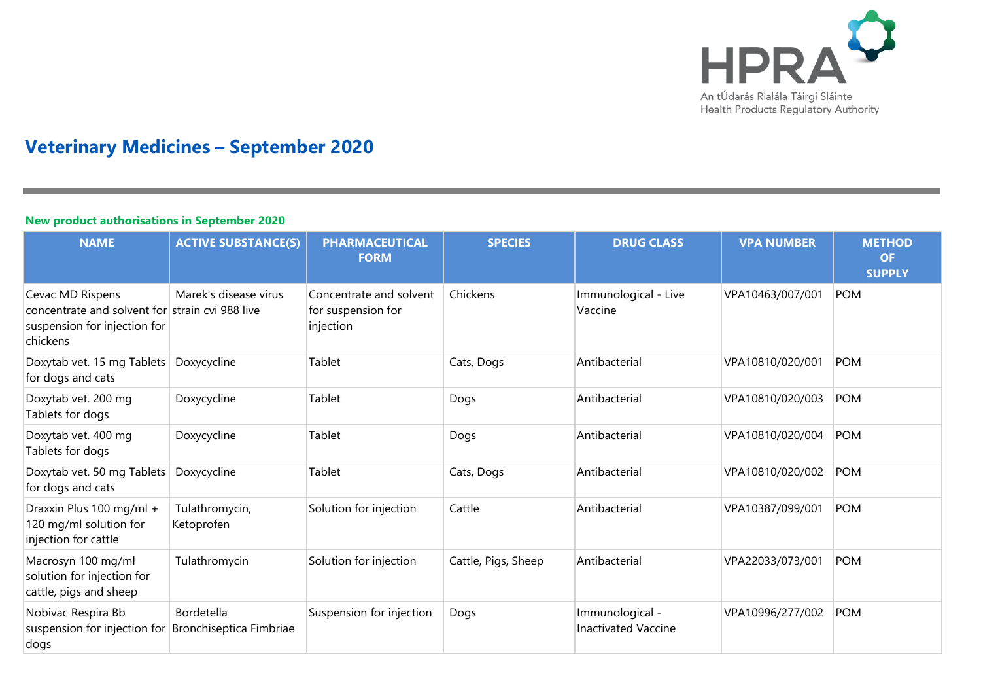

# **Veterinary Medicines – September 2020**

#### **New product authorisations in September 2020**

| <b>NAME</b>                                                                                                     | <b>ACTIVE SUBSTANCE(S)</b>            | <b>PHARMACEUTICAL</b><br><b>FORM</b>                       | <b>SPECIES</b>      | <b>DRUG CLASS</b>                             | <b>VPA NUMBER</b> | <b>METHOD</b><br><b>OF</b><br><b>SUPPLY</b> |
|-----------------------------------------------------------------------------------------------------------------|---------------------------------------|------------------------------------------------------------|---------------------|-----------------------------------------------|-------------------|---------------------------------------------|
| Cevac MD Rispens<br>concentrate and solvent for strain cvi 988 live<br>suspension for injection for<br>chickens | Marek's disease virus                 | Concentrate and solvent<br>for suspension for<br>injection | Chickens            | Immunological - Live<br>Vaccine               | VPA10463/007/001  | <b>POM</b>                                  |
| Doxytab vet. 15 mg Tablets<br>for dogs and cats                                                                 | Doxycycline                           | Tablet                                                     | Cats, Dogs          | Antibacterial                                 | VPA10810/020/001  | <b>POM</b>                                  |
| Doxytab vet. 200 mg<br>Tablets for dogs                                                                         | Doxycycline                           | Tablet                                                     | Dogs                | Antibacterial                                 | VPA10810/020/003  | <b>POM</b>                                  |
| Doxytab vet. 400 mg<br>Tablets for dogs                                                                         | Doxycycline                           | Tablet                                                     | Dogs                | Antibacterial                                 | VPA10810/020/004  | <b>POM</b>                                  |
| Doxytab vet. 50 mg Tablets<br>for dogs and cats                                                                 | Doxycycline                           | Tablet                                                     | Cats, Dogs          | Antibacterial                                 | VPA10810/020/002  | <b>POM</b>                                  |
| Draxxin Plus 100 mg/ml +<br>120 mg/ml solution for<br>injection for cattle                                      | Tulathromycin,<br>Ketoprofen          | Solution for injection                                     | Cattle              | Antibacterial                                 | VPA10387/099/001  | <b>POM</b>                                  |
| Macrosyn 100 mg/ml<br>solution for injection for<br>cattle, pigs and sheep                                      | Tulathromycin                         | Solution for injection                                     | Cattle, Pigs, Sheep | Antibacterial                                 | VPA22033/073/001  | <b>POM</b>                                  |
| Nobivac Respira Bb<br>suspension for injection for<br>dogs                                                      | Bordetella<br>Bronchiseptica Fimbriae | Suspension for injection                                   | Dogs                | Immunological -<br><b>Inactivated Vaccine</b> | VPA10996/277/002  | <b>POM</b>                                  |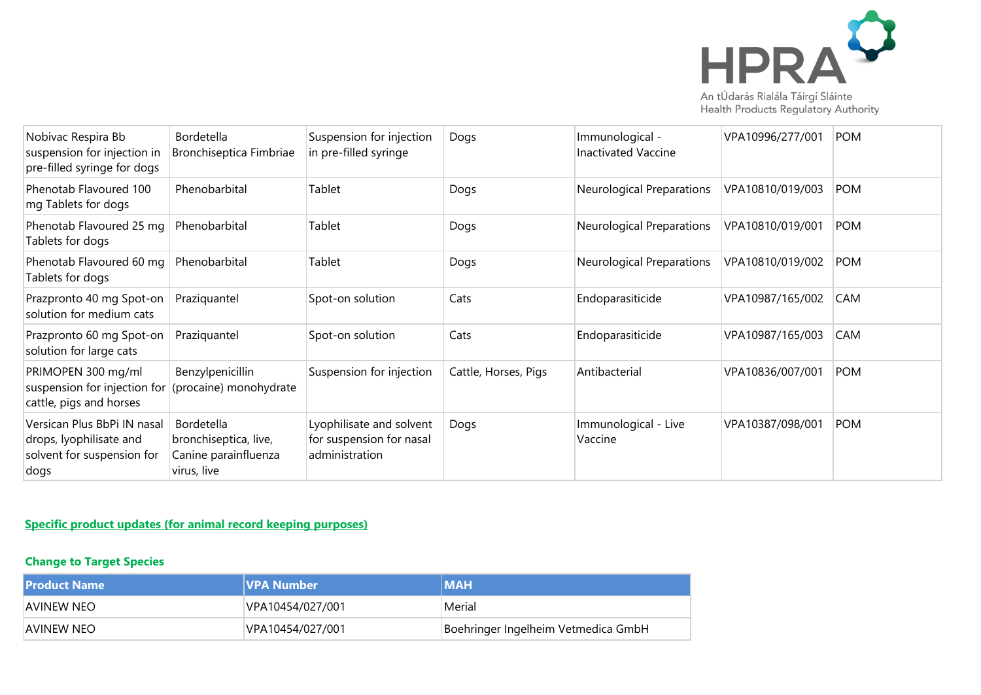

| Nobivac Respira Bb<br>suspension for injection in<br>pre-filled syringe for dogs             | Bordetella<br>Bronchiseptica Fimbriae                                      | Suspension for injection<br>in pre-filled syringe                      | Dogs                 | Immunological -<br><b>Inactivated Vaccine</b> | VPA10996/277/001 | POM        |
|----------------------------------------------------------------------------------------------|----------------------------------------------------------------------------|------------------------------------------------------------------------|----------------------|-----------------------------------------------|------------------|------------|
| Phenotab Flavoured 100<br>mg Tablets for dogs                                                | Phenobarbital                                                              | Tablet                                                                 | Dogs                 | Neurological Preparations                     | VPA10810/019/003 | <b>POM</b> |
| Phenotab Flavoured 25 mg<br>Tablets for dogs                                                 | Phenobarbital                                                              | Tablet                                                                 | Dogs                 | Neurological Preparations                     | VPA10810/019/001 | <b>POM</b> |
| Phenotab Flavoured 60 mg<br>Tablets for dogs                                                 | Phenobarbital                                                              | Tablet                                                                 | Dogs                 | Neurological Preparations                     | VPA10810/019/002 | <b>POM</b> |
| Prazpronto 40 mg Spot-on<br>solution for medium cats                                         | Praziquantel                                                               | Spot-on solution                                                       | Cats                 | Endoparasiticide                              | VPA10987/165/002 | CAM        |
| Prazpronto 60 mg Spot-on<br>solution for large cats                                          | Praziquantel                                                               | Spot-on solution                                                       | Cats                 | Endoparasiticide                              | VPA10987/165/003 | <b>CAM</b> |
| PRIMOPEN 300 mg/ml<br>suspension for injection for<br>cattle, pigs and horses                | Benzylpenicillin<br>(procaine) monohydrate                                 | Suspension for injection                                               | Cattle, Horses, Pigs | Antibacterial                                 | VPA10836/007/001 | POM        |
| Versican Plus BbPi IN nasal<br>drops, lyophilisate and<br>solvent for suspension for<br>dogs | Bordetella<br>bronchiseptica, live,<br>Canine parainfluenza<br>virus, live | Lyophilisate and solvent<br>for suspension for nasal<br>administration | Dogs                 | Immunological - Live<br>Vaccine               | VPA10387/098/001 | <b>POM</b> |

## **Specific product updates (for animal record keeping purposes)**

## **Change to Target Species**

| l Product Name | <b>IVPA Number</b> | <b>IMAH</b>                         |
|----------------|--------------------|-------------------------------------|
| AVINEW NEO     | VPA10454/027/001   | Merial                              |
| AVINEW NEO     | VPA10454/027/001   | Boehringer Ingelheim Vetmedica GmbH |